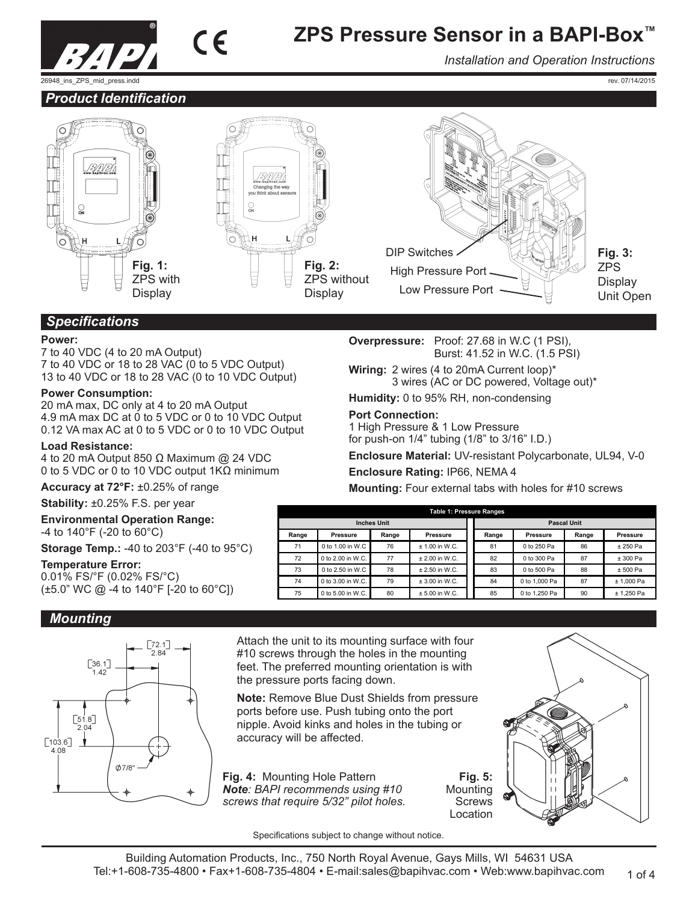

*Installation and Operation Instructions*

rev. 07/14/2015

### *Product Identification*





 $\epsilon$ 



## *Specifications*

#### **Power:**

7 to 40 VDC (4 to 20 mA Output) 7 to 40 VDC or 18 to 28 VAC (0 to 5 VDC Output) 13 to 40 VDC or 18 to 28 VAC (0 to 10 VDC Output)

#### **Power Consumption:**

20 mA max, DC only at 4 to 20 mA Output 4.9 mA max DC at 0 to 5 VDC or 0 to 10 VDC Output 0.12 VA max AC at 0 to 5 VDC or 0 to 10 VDC Output

#### **Load Resistance:**

4 to 20 mA Output 850 Ω Maximum @ 24 VDC 0 to 5 VDC or 0 to 10 VDC output 1KΩ minimum

**Accuracy at 72°F:** ±0.25% of range

**Stability:** ±0.25% F.S. per year

**Environmental Operation Range:** -4 to 140°F (-20 to 60°C)

**Storage Temp.:** -40 to 203°F (-40 to 95°C)

#### **Temperature Error:**

0.01% FS/°F (0.02% FS/°C) (±5.0" WC @ -4 to 140°F [-20 to 60°C])

## *Mounting*



Attach the unit to its mounting surface with four #10 screws through the holes in the mounting feet. The preferred mounting orientation is with the pressure ports facing down.

**Note:** Remove Blue Dust Shields from pressure ports before use. Push tubing onto the port nipple. Avoid kinks and holes in the tubing or accuracy will be affected.

**Fig. 4:** Mounting Hole Pattern *Note: BAPI recommends using #10 screws that require 5/32" pilot holes.*

**Fig. 5:**  Mounting **Screws** Location



Specifications subject to change without notice.

ZPS without

**Overpressure:** Proof: 27.68 in W.C (1 PSI), Burst: 41.52 in W.C. (1.5 PSI)

**Wiring:** 2 wires (4 to 20mA Current loop)\* 3 wires (AC or DC powered, Voltage out)\*

**Humidity:** 0 to 95% RH, non-condensing

## **Port Connection:**

1 High Pressure & 1 Low Pressure for push-on 1/4" tubing (1/8" to 3/16" I.D.)

**Enclosure Material:** UV-resistant Polycarbonate, UL94, V-0

**Enclosure Rating:** IP66, NEMA 4

**Mounting:** Four external tabs with holes for #10 screws

|       | <b>Table 1: Pressure Ranges</b> |       |                  |  |       |                    |       |              |  |
|-------|---------------------------------|-------|------------------|--|-------|--------------------|-------|--------------|--|
|       | <b>Inches Unit</b>              |       |                  |  |       | <b>Pascal Unit</b> |       |              |  |
| Range | Pressure                        | Range | Pressure         |  | Range | Pressure           | Range | Pressure     |  |
| 71    | $0$ to 1.00 in W.C.             | 76    | $+ 1.00$ in W.C. |  | 81    | 0 to 250 Pa        | 86    | $+250$ Pa    |  |
| 72    | 0 to 2.00 in W.C.               | 77    | $+2.00$ in W.C.  |  | 82    | 0 to 300 Pa        | 87    | ± 300 Pa     |  |
| 73    | 0 to 2.50 in W.C                | 78    | $+2.50$ in W.C.  |  | 83    | 0 to 500 Pa        | 88    | ± 500 Pa     |  |
| 74    | 0 to 3.00 in W.C.               | 79    | $± 3.00$ in W.C. |  | 84    | 0 to 1.000 Pa      | 87    | ± 1.000 Pa   |  |
| 75    | 0 to 5.00 in W.C.               | 80    | $± 5.00$ in W.C. |  | 85    | 0 to 1.250 Pa      | 90    | $± 1.250$ Pa |  |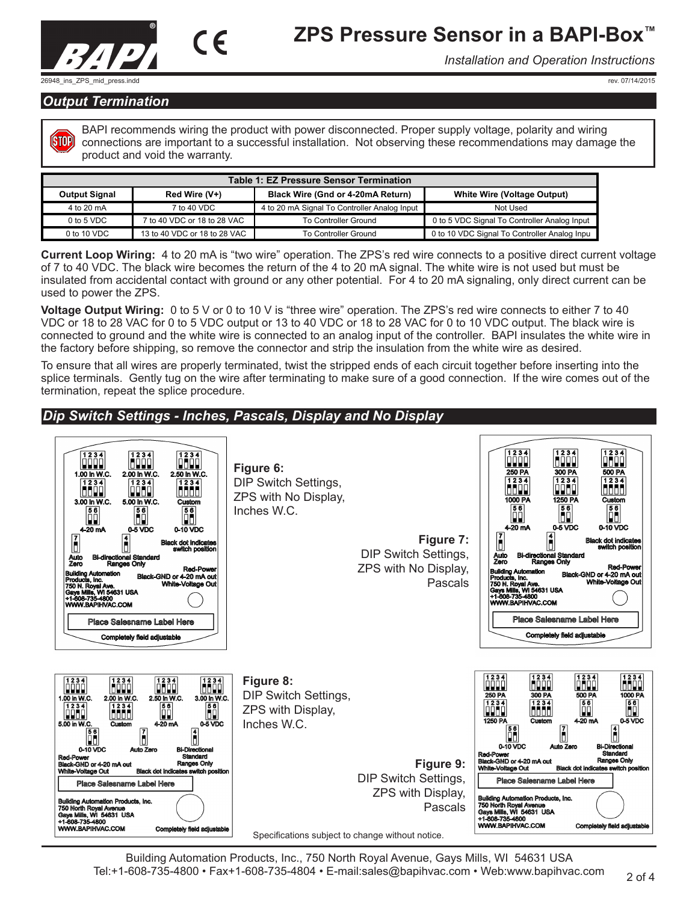



*Installation and Operation Instructions*

rev. 07/14/2015

## *Output Termination*

**ISTOP** 

BAPI recommends wiring the product with power disconnected. Proper supply voltage, polarity and wiring connections are important to a successful installation. Not observing these recommendations may damage the product and void the warranty.

| <b>Table 1: EZ Pressure Sensor Termination</b> |                              |                                              |                                              |  |  |  |  |
|------------------------------------------------|------------------------------|----------------------------------------------|----------------------------------------------|--|--|--|--|
| <b>Output Signal</b>                           | Red Wire (V+)                | Black Wire (Gnd or 4-20mA Return)            | <b>White Wire (Voltage Output)</b>           |  |  |  |  |
| 4 to 20 mA                                     | 7 to 40 VDC                  | 4 to 20 mA Signal To Controller Analog Input | Not Used                                     |  |  |  |  |
| $0$ to 5 VDC                                   | 7 to 40 VDC or 18 to 28 VAC  | To Controller Ground                         | 0 to 5 VDC Signal To Controller Analog Input |  |  |  |  |
| 0 to 10 VDC                                    | 13 to 40 VDC or 18 to 28 VAC | To Controller Ground                         | 0 to 10 VDC Signal To Controller Analog Inpu |  |  |  |  |

**Current Loop Wiring:** 4 to 20 mA is "two wire" operation. The ZPS's red wire connects to a positive direct current voltage of 7 to 40 VDC. The black wire becomes the return of the 4 to 20 mA signal. The white wire is not used but must be insulated from accidental contact with ground or any other potential. For 4 to 20 mA signaling, only direct current can be used to power the ZPS.

**Voltage Output Wiring:** 0 to 5 V or 0 to 10 V is "three wire" operation. The ZPS's red wire connects to either 7 to 40 VDC or 18 to 28 VAC for 0 to 5 VDC output or 13 to 40 VDC or 18 to 28 VAC for 0 to 10 VDC output. The black wire is connected to ground and the white wire is connected to an analog input of the controller. BAPI insulates the white wire in the factory before shipping, so remove the connector and strip the insulation from the white wire as desired.

To ensure that all wires are properly terminated, twist the stripped ends of each circuit together before inserting into the splice terminals. Gently tug on the wire after terminating to make sure of a good connection. If the wire comes out of the termination, repeat the splice procedure.

## *Dip Switch Settings - Inches, Pascals, Display and No Display*



Building Automation Products, Inc., 750 North Royal Avenue, Gays Mills, WI 54631 USA Tel:+1-608-735-4800 • Fax+1-608-735-4804 • E-mail:sales@bapihvac.com • Web:www.bapihvac.com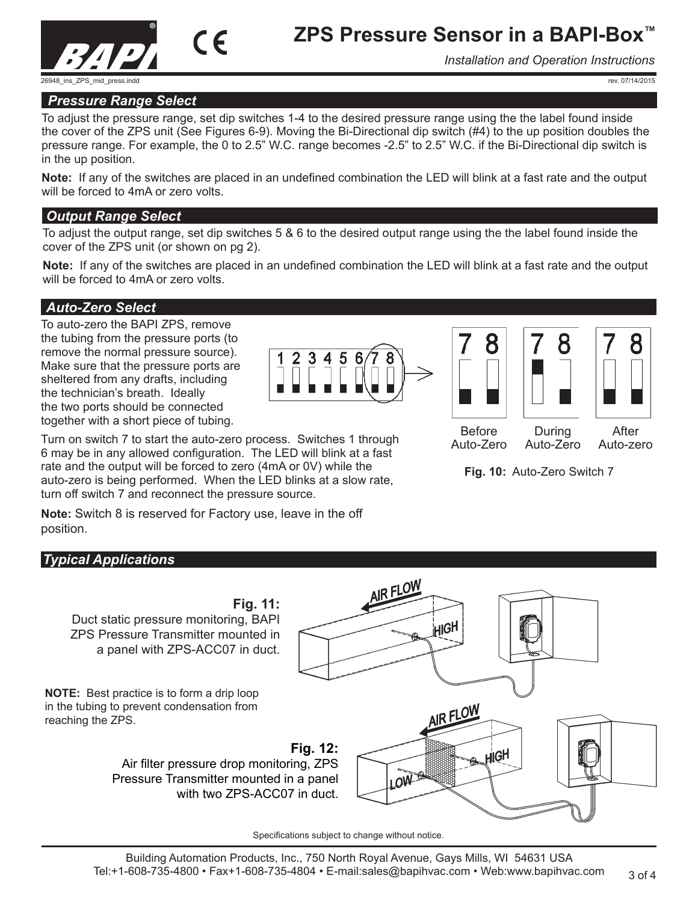

*Installation and Operation Instructions*

rev. 07/14/2015

#### *Pressure Range Select*

To adjust the pressure range, set dip switches 1-4 to the desired pressure range using the the label found inside the cover of the ZPS unit (See Figures 6-9). Moving the Bi-Directional dip switch (#4) to the up position doubles the pressure range. For example, the 0 to 2.5" W.C. range becomes -2.5" to 2.5" W.C. if the Bi-Directional dip switch is in the up position.

**Note:** If any of the switches are placed in an undefined combination the LED will blink at a fast rate and the output will be forced to 4mA or zero volts.

#### *Output Range Select*

To adjust the output range, set dip switches 5 & 6 to the desired output range using the the label found inside the cover of the ZPS unit (or shown on pg 2).

**Note:** If any of the switches are placed in an undefined combination the LED will blink at a fast rate and the output will be forced to 4mA or zero volts.

#### *Auto-Zero Select*

To auto-zero the BAPI ZPS, remove the tubing from the pressure ports (to remove the normal pressure source). Make sure that the pressure ports are sheltered from any drafts, including the technician's breath. Ideally the two ports should be connected together with a short piece of tubing.



Turn on switch 7 to start the auto-zero process. Switches 1 through 6 may be in any allowed configuration. The LED will blink at a fast rate and the output will be forced to zero (4mA or 0V) while the auto-zero is being performed. When the LED blinks at a slow rate, turn off switch 7 and reconnect the pressure source.

8





Before Auto-Zero

After Auto-zero

Auto-Zero

**Fig. 10:** Auto-Zero Switch 7

During

**Note:** Switch 8 is reserved for Factory use, leave in the off position.

## *Typical Applications*



Specifications subject to change without notice.